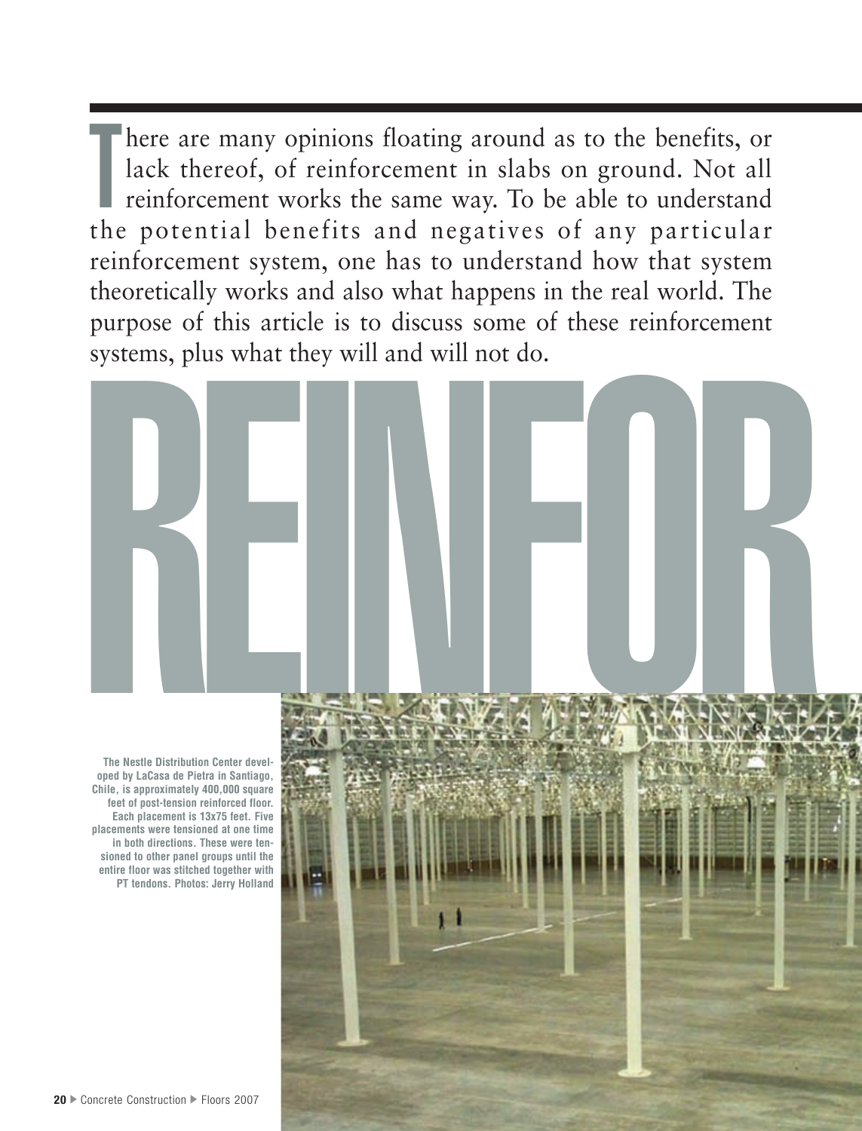T here are many opinions floating around as to the benefits, or lack thereof, of reinforcement in slabs on ground. Not all reinforcement works the same way. To be able to understand the potential benefits and negatives of any particular reinforcement system, one has to understand how that system theoretically works and also what happens in the real world. The purpose of this article is to discuss some of these reinforcement systems, plus what they will and will not do.

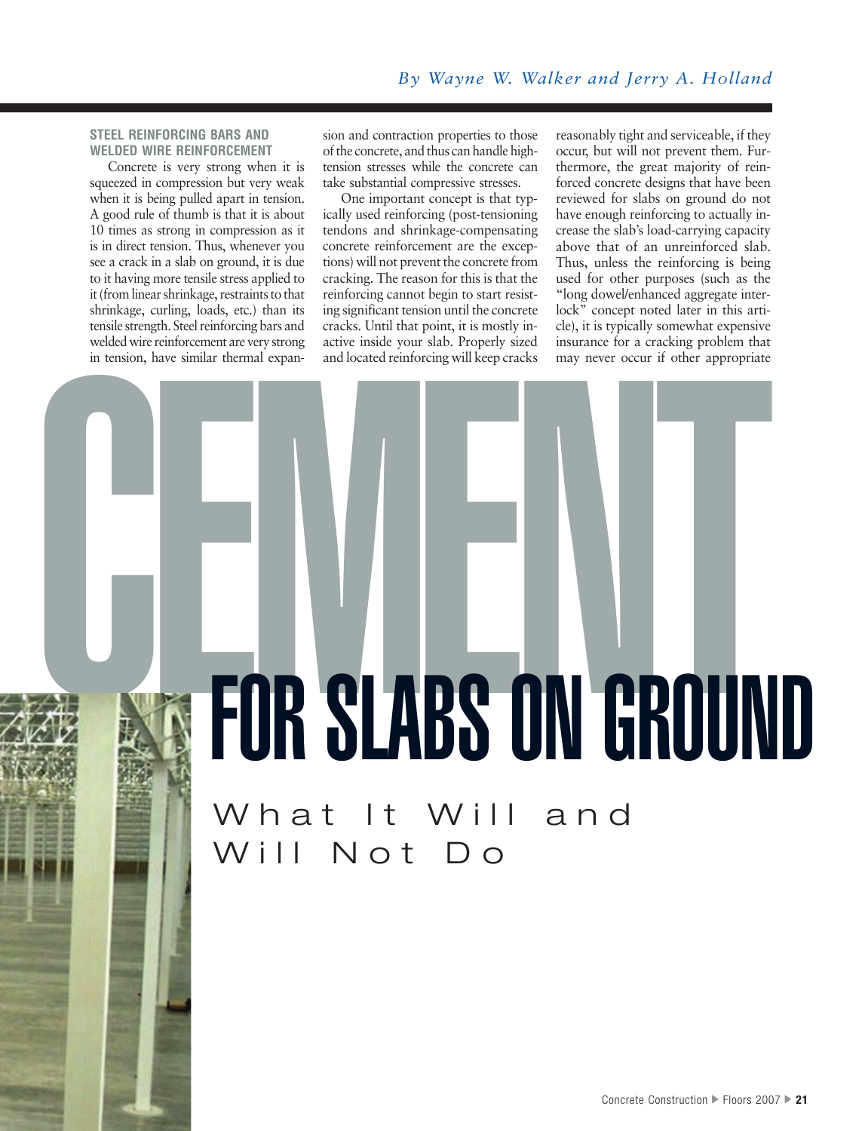## **STEEL REINFORCING BARS AND WELDED WIRE REINFORCEMENT**

Concrete is very strong when it is squeezed in compression but very weak when it is being pulled apart in tension. A good rule of thumb is that it is about 10 times as strong in compression as it is in direct tension. Thus, whenever you see a crack in a slab on ground, it is due to it having more tensile stress applied to it (from linear shrinkage, restraints to that shrinkage, curling, loads, etc.) than its tensile strength. Steel reinforcing bars and welded wire reinforcement are very strong in tension, have similar thermal expansion and contraction properties to those of the concrete, and thus can handle hightension stresses while the concrete can take substantial compressive stresses.

One important concept is that typically used reinforcing (post-tensioning tendons and shrinkage-compensating concrete reinforcement are the exceptions) will not prevent the concrete from cracking. The reason for this is that the reinforcing cannot begin to start resisting significant tension until the concrete cracks. Until that point, it is mostly inactive inside your slab. Properly sized and located reinforcing will keep cracks

reasonably tight and serviceable, if they occur, but will not prevent them. Furthermore, the great majority of reinforced concrete designs that have been reviewed for slabs on ground do not have enough reinforcing to actually increase the slab's load-carrying capacity above that of an unreinforced slab. Thus, unless the reinforcing is being used for other purposes (such as the "long dowel/enhanced aggregate interlock" concept noted later in this article), it is typically somewhat expensive insurance for a cracking problem that may never occur if other appropriate

# **OR ENDER THE SLABS ON GROUN** FOR SLABS ON GROUND

What It Will and Will Not Do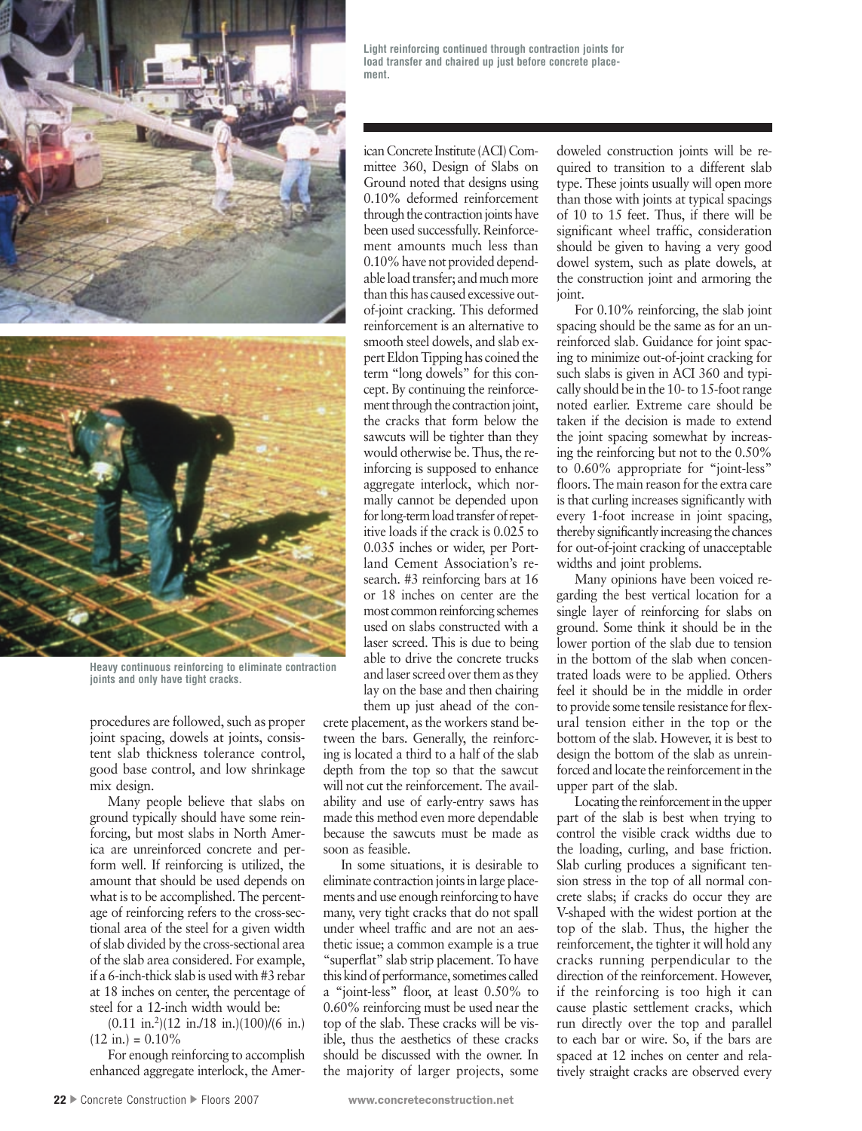

**Heavy continuous reinforcing to eliminate contraction joints and only have tight cracks.**

procedures are followed, such as proper joint spacing, dowels at joints, consistent slab thickness tolerance control, good base control, and low shrinkage mix design.

Many people believe that slabs on ground typically should have some reinforcing, but most slabs in North America are unreinforced concrete and perform well. If reinforcing is utilized, the amount that should be used depends on what is to be accomplished. The percentage of reinforcing refers to the cross-sectional area of the steel for a given width of slab divided by the cross-sectional area of the slab area considered. For example, if a 6-inch-thick slab is used with #3 rebar at 18 inches on center, the percentage of steel for a 12-inch width would be:

 $(0.11 \text{ in.}^2)(12 \text{ in.} /18 \text{ in.})$  $(100)/(6 \text{ in.})$  $(12 \text{ in.}) = 0.10\%$ 

For enough reinforcing to accomplish enhanced aggregate interlock, the Amer-

ican Concrete Institute (ACI) Committee 360, Design of Slabs on Ground noted that designs using 0.10% deformed reinforcement through the contraction joints have been used successfully. Reinforcement amounts much less than 0.10% have not provided dependable load transfer; and much more than this has caused excessive outof-joint cracking. This deformed reinforcement is an alternative to smooth steel dowels, and slab expert Eldon Tipping has coined the term "long dowels" for this concept. By continuing the reinforcement through the contraction joint, the cracks that form below the sawcuts will be tighter than they would otherwise be. Thus, the reinforcing is supposed to enhance aggregate interlock, which normally cannot be depended upon for long-term load transfer of repetitive loads if the crack is 0.025 to 0.035 inches or wider, per Portland Cement Association's research. #3 reinforcing bars at 16 or 18 inches on center are the most common reinforcing schemes used on slabs constructed with a laser screed. This is due to being able to drive the concrete trucks and laser screed over them as they lay on the base and then chairing them up just ahead of the con-

crete placement, as the workers stand between the bars. Generally, the reinforcing is located a third to a half of the slab depth from the top so that the sawcut will not cut the reinforcement. The availability and use of early-entry saws has made this method even more dependable because the sawcuts must be made as soon as feasible.

In some situations, it is desirable to eliminate contraction joints in large placements and use enough reinforcing to have many, very tight cracks that do not spall under wheel traffic and are not an aesthetic issue; a common example is a true "superflat" slab strip placement. To have this kind of performance, sometimes called a "joint-less" floor, at least 0.50% to 0.60% reinforcing must be used near the top of the slab. These cracks will be visible, thus the aesthetics of these cracks should be discussed with the owner. In the majority of larger projects, some

doweled construction joints will be required to transition to a different slab type. These joints usually will open more than those with joints at typical spacings of 10 to 15 feet. Thus, if there will be significant wheel traffic, consideration should be given to having a very good dowel system, such as plate dowels, at the construction joint and armoring the joint.

For 0.10% reinforcing, the slab joint spacing should be the same as for an unreinforced slab. Guidance for joint spacing to minimize out-of-joint cracking for such slabs is given in ACI 360 and typically should be in the 10- to 15-foot range noted earlier. Extreme care should be taken if the decision is made to extend the joint spacing somewhat by increasing the reinforcing but not to the 0.50% to 0.60% appropriate for "joint-less" floors. The main reason for the extra care is that curling increases significantly with every 1-foot increase in joint spacing, thereby significantly increasing the chances for out-of-joint cracking of unacceptable widths and joint problems.

Many opinions have been voiced regarding the best vertical location for a single layer of reinforcing for slabs on ground. Some think it should be in the lower portion of the slab due to tension in the bottom of the slab when concentrated loads were to be applied. Others feel it should be in the middle in order to provide some tensile resistance for flexural tension either in the top or the bottom of the slab. However, it is best to design the bottom of the slab as unreinforced and locate the reinforcement in the upper part of the slab.

Locating the reinforcement in the upper part of the slab is best when trying to control the visible crack widths due to the loading, curling, and base friction. Slab curling produces a significant tension stress in the top of all normal concrete slabs; if cracks do occur they are V-shaped with the widest portion at the top of the slab. Thus, the higher the reinforcement, the tighter it will hold any cracks running perpendicular to the direction of the reinforcement. However, if the reinforcing is too high it can cause plastic settlement cracks, which run directly over the top and parallel to each bar or wire. So, if the bars are spaced at 12 inches on center and relatively straight cracks are observed every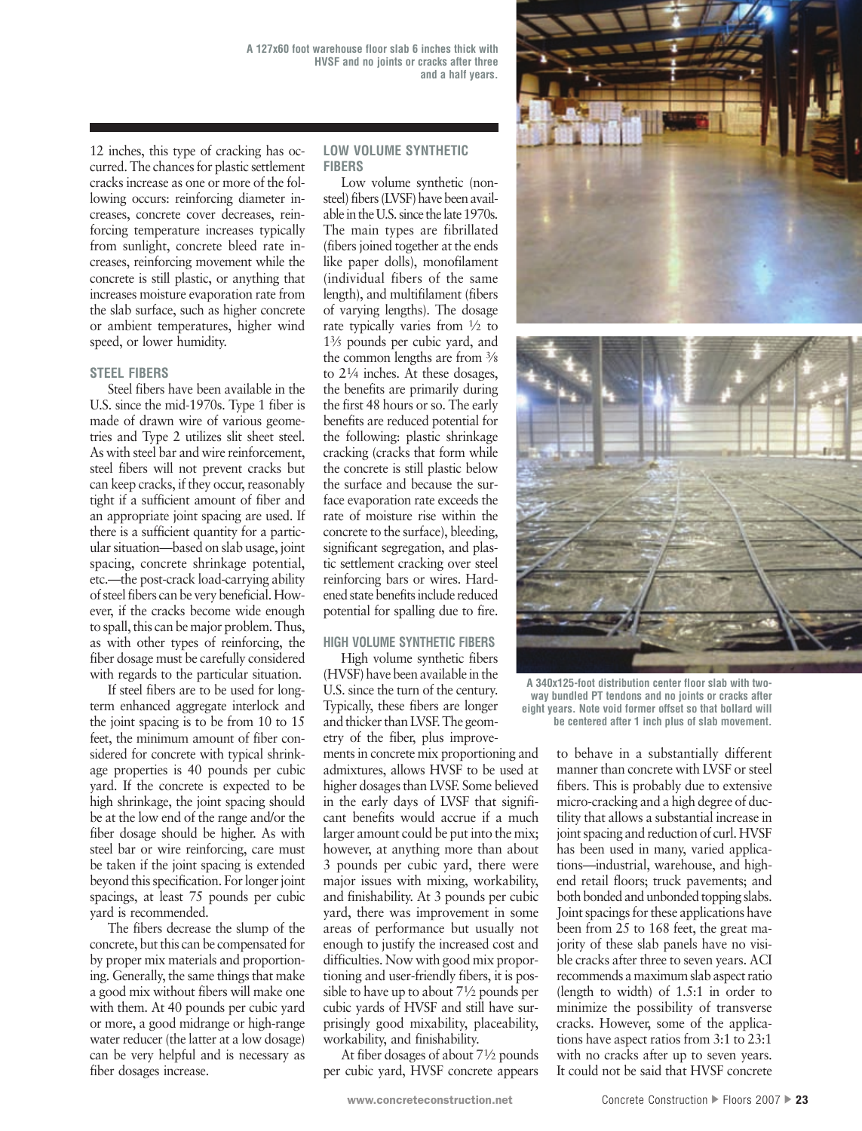12 inches, this type of cracking has occurred. The chances for plastic settlement cracks increase as one or more of the following occurs: reinforcing diameter increases, concrete cover decreases, reinforcing temperature increases typically from sunlight, concrete bleed rate increases, reinforcing movement while the concrete is still plastic, or anything that increases moisture evaporation rate from the slab surface, such as higher concrete or ambient temperatures, higher wind speed, or lower humidity.

### **STEEL FIBERS**

Steel fibers have been available in the U.S. since the mid-1970s. Type 1 fiber is made of drawn wire of various geometries and Type 2 utilizes slit sheet steel. As with steel bar and wire reinforcement, steel fibers will not prevent cracks but can keep cracks, if they occur, reasonably tight if a sufficient amount of fiber and an appropriate joint spacing are used. If there is a sufficient quantity for a particular situation—based on slab usage, joint spacing, concrete shrinkage potential, etc.—the post-crack load-carrying ability of steel fibers can be very beneficial. However, if the cracks become wide enough to spall, this can be major problem. Thus, as with other types of reinforcing, the fiber dosage must be carefully considered with regards to the particular situation.

If steel fibers are to be used for longterm enhanced aggregate interlock and the joint spacing is to be from 10 to 15 feet, the minimum amount of fiber considered for concrete with typical shrinkage properties is 40 pounds per cubic yard. If the concrete is expected to be high shrinkage, the joint spacing should be at the low end of the range and/or the fiber dosage should be higher. As with steel bar or wire reinforcing, care must be taken if the joint spacing is extended beyond this specification. For longer joint spacings, at least 75 pounds per cubic yard is recommended.

The fibers decrease the slump of the concrete, but this can be compensated for by proper mix materials and proportioning. Generally, the same things that make a good mix without fibers will make one with them. At 40 pounds per cubic yard or more, a good midrange or high-range water reducer (the latter at a low dosage) can be very helpful and is necessary as fiber dosages increase.

### **LOW VOLUME SYNTHETIC FIBERS**

Low volume synthetic (nonsteel) fibers (LVSF) have been available in the U.S. since the late 1970s. The main types are fibrillated (fibers joined together at the ends like paper dolls), monofilament (individual fibers of the same length), and multifilament (fibers of varying lengths). The dosage rate typically varies from 1⁄2 to 13⁄5 pounds per cubic yard, and the common lengths are from 3⁄8 to 21⁄4 inches. At these dosages, the benefits are primarily during the first 48 hours or so. The early benefits are reduced potential for the following: plastic shrinkage cracking (cracks that form while the concrete is still plastic below the surface and because the surface evaporation rate exceeds the rate of moisture rise within the concrete to the surface), bleeding, significant segregation, and plastic settlement cracking over steel reinforcing bars or wires. Hardened state benefits include reduced potential for spalling due to fire.

## **HIGH VOLUME SYNTHETIC FIBERS**

High volume synthetic fibers (HVSF) have been available in the U.S. since the turn of the century. Typically, these fibers are longer and thicker than LVSF. The geometry of the fiber, plus improvements in concrete mix proportioning and admixtures, allows HVSF to be used at higher dosages than LVSF. Some believed in the early days of LVSF that significant benefits would accrue if a much larger amount could be put into the mix; however, at anything more than about 3 pounds per cubic yard, there were major issues with mixing, workability, and finishability. At 3 pounds per cubic yard, there was improvement in some areas of performance but usually not enough to justify the increased cost and difficulties. Now with good mix proportioning and user-friendly fibers, it is possible to have up to about 71⁄2 pounds per cubic yards of HVSF and still have surprisingly good mixability, placeability, workability, and finishability.

At fiber dosages of about 71⁄2 pounds per cubic yard, HVSF concrete appears





**A 340x125-foot distribution center floor slab with twoway bundled PT tendons and no joints or cracks after eight years. Note void former offset so that bollard will be centered after 1 inch plus of slab movement.**

to behave in a substantially different manner than concrete with LVSF or steel fibers. This is probably due to extensive micro-cracking and a high degree of ductility that allows a substantial increase in joint spacing and reduction of curl. HVSF has been used in many, varied applications—industrial, warehouse, and highend retail floors; truck pavements; and both bonded and unbonded topping slabs. Joint spacings for these applications have been from 25 to 168 feet, the great majority of these slab panels have no visible cracks after three to seven years. ACI recommends a maximum slab aspect ratio (length to width) of 1.5:1 in order to minimize the possibility of transverse cracks. However, some of the applications have aspect ratios from 3:1 to 23:1 with no cracks after up to seven years. It could not be said that HVSF concrete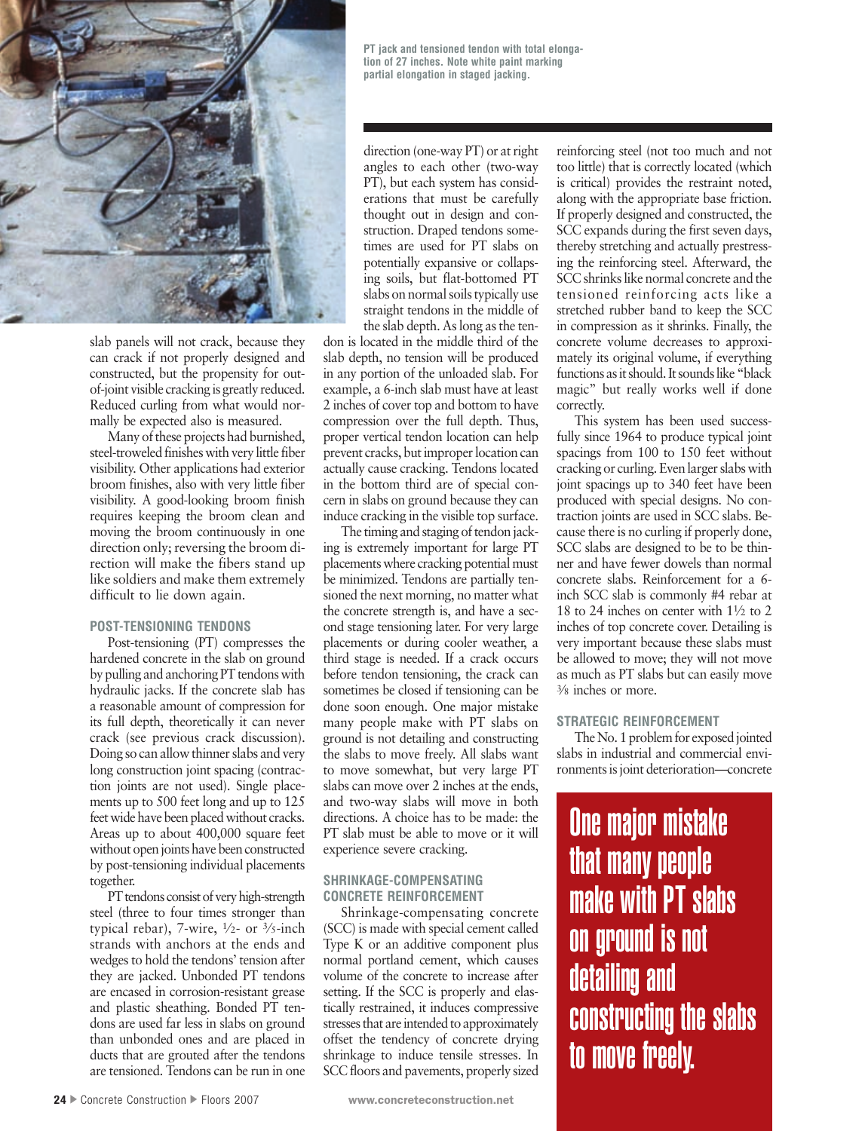

slab panels will not crack, because they can crack if not properly designed and constructed, but the propensity for outof-joint visible cracking is greatly reduced. Reduced curling from what would normally be expected also is measured.

Many of these projects had burnished, steel-troweled finishes with very little fiber visibility. Other applications had exterior broom finishes, also with very little fiber visibility. A good-looking broom finish requires keeping the broom clean and moving the broom continuously in one direction only; reversing the broom direction will make the fibers stand up like soldiers and make them extremely difficult to lie down again.

# **POST-TENSIONING TENDONS**

Post-tensioning (PT) compresses the hardened concrete in the slab on ground by pulling and anchoring PT tendons with hydraulic jacks. If the concrete slab has a reasonable amount of compression for its full depth, theoretically it can never crack (see previous crack discussion). Doing so can allow thinner slabs and very long construction joint spacing (contraction joints are not used). Single placements up to 500 feet long and up to 125 feet wide have been placed without cracks. Areas up to about 400,000 square feet without open joints have been constructed by post-tensioning individual placements together.

PT tendons consist of very high-strength steel (three to four times stronger than typical rebar), 7-wire, 1⁄2- or 3⁄5-inch strands with anchors at the ends and wedges to hold the tendons' tension after they are jacked. Unbonded PT tendons are encased in corrosion-resistant grease and plastic sheathing. Bonded PT tendons are used far less in slabs on ground than unbonded ones and are placed in ducts that are grouted after the tendons are tensioned. Tendons can be run in one

**PT jack and tensioned tendon with total elongation of 27 inches. Note white paint marking partial elongation in staged jacking.**

direction (one-way PT) or at right angles to each other (two-way PT), but each system has considerations that must be carefully thought out in design and construction. Draped tendons sometimes are used for PT slabs on potentially expansive or collapsing soils, but flat-bottomed PT slabs on normal soils typically use straight tendons in the middle of the slab depth. As long as the ten-

don is located in the middle third of the slab depth, no tension will be produced in any portion of the unloaded slab. For example, a 6-inch slab must have at least 2 inches of cover top and bottom to have compression over the full depth. Thus, proper vertical tendon location can help prevent cracks, but improper location can actually cause cracking. Tendons located in the bottom third are of special concern in slabs on ground because they can induce cracking in the visible top surface.

The timing and staging of tendon jacking is extremely important for large PT placements where cracking potential must be minimized. Tendons are partially tensioned the next morning, no matter what the concrete strength is, and have a second stage tensioning later. For very large placements or during cooler weather, a third stage is needed. If a crack occurs before tendon tensioning, the crack can sometimes be closed if tensioning can be done soon enough. One major mistake many people make with PT slabs on ground is not detailing and constructing the slabs to move freely. All slabs want to move somewhat, but very large PT slabs can move over 2 inches at the ends, and two-way slabs will move in both directions. A choice has to be made: the PT slab must be able to move or it will experience severe cracking.

### **SHRINKAGE-COMPENSATING CONCRETE REINFORCEMENT**

Shrinkage-compensating concrete (SCC) is made with special cement called Type K or an additive component plus normal portland cement, which causes volume of the concrete to increase after setting. If the SCC is properly and elastically restrained, it induces compressive stresses that are intended to approximately offset the tendency of concrete drying shrinkage to induce tensile stresses. In SCC floors and pavements, properly sized reinforcing steel (not too much and not too little) that is correctly located (which is critical) provides the restraint noted, along with the appropriate base friction. If properly designed and constructed, the SCC expands during the first seven days, thereby stretching and actually prestressing the reinforcing steel. Afterward, the SCC shrinks like normal concrete and the tensioned reinforcing acts like a stretched rubber band to keep the SCC in compression as it shrinks. Finally, the concrete volume decreases to approximately its original volume, if everything functions as it should. It sounds like "black magic" but really works well if done correctly.

This system has been used successfully since 1964 to produce typical joint spacings from 100 to 150 feet without cracking or curling. Even larger slabs with joint spacings up to 340 feet have been produced with special designs. No contraction joints are used in SCC slabs. Because there is no curling if properly done, SCC slabs are designed to be to be thinner and have fewer dowels than normal concrete slabs. Reinforcement for a 6 inch SCC slab is commonly #4 rebar at 18 to 24 inches on center with 11⁄2 to 2 inches of top concrete cover. Detailing is very important because these slabs must be allowed to move; they will not move as much as PT slabs but can easily move 3⁄8 inches or more.

## **STRATEGIC REINFORCEMENT**

The No. 1 problem for exposed jointed slabs in industrial and commercial environments is joint deterioration—concrete

One major mistake that many people make with PT slabs on ground is not detailing and constructing the slabs to move freely.